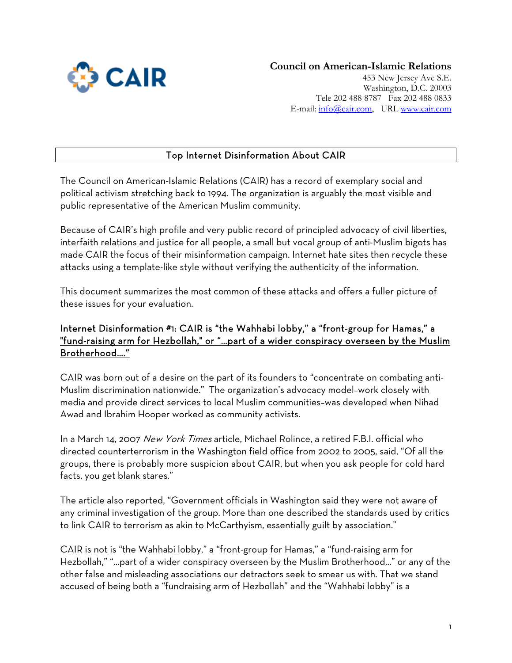

Tele 202 488 8787 Fax 202 488 0833 E-mail: [info@cair.com,](mailto:info@cair.com) URL www.cair.com

# Top Internet Disinformation About CAIR

The Council on American-Islamic Relations (CAIR) has a record of exemplary social and political activism stretching back to 1994. The organization is arguably the most visible and public representative of the American Muslim community.

Because of CAIR's high profile and very public record of principled advocacy of civil liberties, interfaith relations and justice for all people, a small but vocal group of anti-Muslim bigots has made CAIR the focus of their misinformation campaign. Internet hate sites then recycle these attacks using a template-like style without verifying the authenticity of the information.

This document summarizes the most common of these attacks and offers a fuller picture of these issues for your evaluation.

## Internet Disinformation #1: CAIR is "the Wahhabi lobby," a "front-group for Hamas," a "fund-raising arm for Hezbollah," or "…part of a wider conspiracy overseen by the Muslim Brotherhood…."

CAIR was born out of a desire on the part of its founders to "concentrate on combating anti-Muslim discrimination nationwide." The organization's advocacy model–work closely with media and provide direct services to local Muslim communities–was developed when Nihad Awad and Ibrahim Hooper worked as community activists.

In a March 14, 2007 New York Times article, Michael Rolince, a retired F.B.I. official who directed counterterrorism in the Washington field office from 2002 to 2005, said, "Of all the groups, there is probably more suspicion about CAIR, but when you ask people for cold hard facts, you get blank stares."

The article also reported, "Government officials in Washington said they were not aware of any criminal investigation of the group. More than one described the standards used by critics to link CAIR to terrorism as akin to McCarthyism, essentially guilt by association."

CAIR is not is "the Wahhabi lobby," a "front-group for Hamas," a "fund-raising arm for Hezbollah," "…part of a wider conspiracy overseen by the Muslim Brotherhood…" or any of the other false and misleading associations our detractors seek to smear us with. That we stand accused of being both a "fundraising arm of Hezbollah" and the "Wahhabi lobby" is a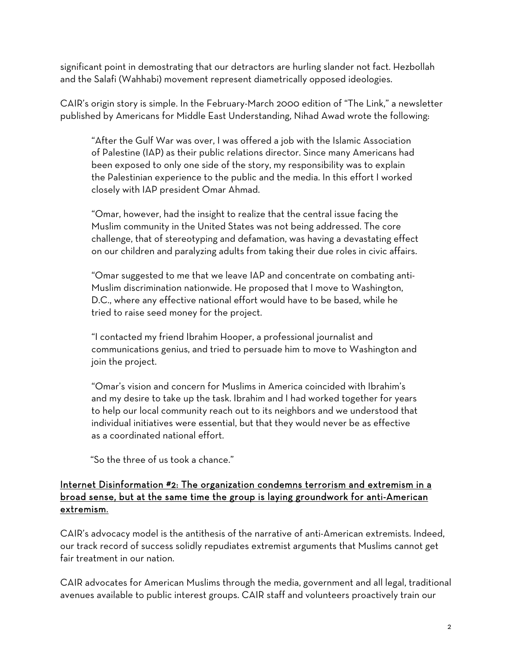significant point in demostrating that our detractors are hurling slander not fact. Hezbollah and the Salafi (Wahhabi) movement represent diametrically opposed ideologies.

CAIR's origin story is simple. In the February-March 2000 edition of "The Link," a newsletter published by Americans for Middle East Understanding, Nihad Awad wrote the following:

"After the Gulf War was over, I was offered a job with the Islamic Association of Palestine (IAP) as their public relations director. Since many Americans had been exposed to only one side of the story, my responsibility was to explain the Palestinian experience to the public and the media. In this effort I worked closely with IAP president Omar Ahmad.

"Omar, however, had the insight to realize that the central issue facing the Muslim community in the United States was not being addressed. The core challenge, that of stereotyping and defamation, was having a devastating effect on our children and paralyzing adults from taking their due roles in civic affairs.

"Omar suggested to me that we leave IAP and concentrate on combating anti-Muslim discrimination nationwide. He proposed that I move to Washington, D.C., where any effective national effort would have to be based, while he tried to raise seed money for the project.

"I contacted my friend Ibrahim Hooper, a professional journalist and communications genius, and tried to persuade him to move to Washington and join the project.

"Omar's vision and concern for Muslims in America coincided with Ibrahim's and my desire to take up the task. Ibrahim and I had worked together for years to help our local community reach out to its neighbors and we understood that individual initiatives were essential, but that they would never be as effective as a coordinated national effort.

"So the three of us took a chance."

#### Internet Disinformation #2: The organization condemns terrorism and extremism in a broad sense, but at the same time the group is laying groundwork for anti-American extremism.

CAIR's advocacy model is the antithesis of the narrative of anti-American extremists. Indeed, our track record of success solidly repudiates extremist arguments that Muslims cannot get fair treatment in our nation.

CAIR advocates for American Muslims through the media, government and all legal, traditional avenues available to public interest groups. CAIR staff and volunteers proactively train our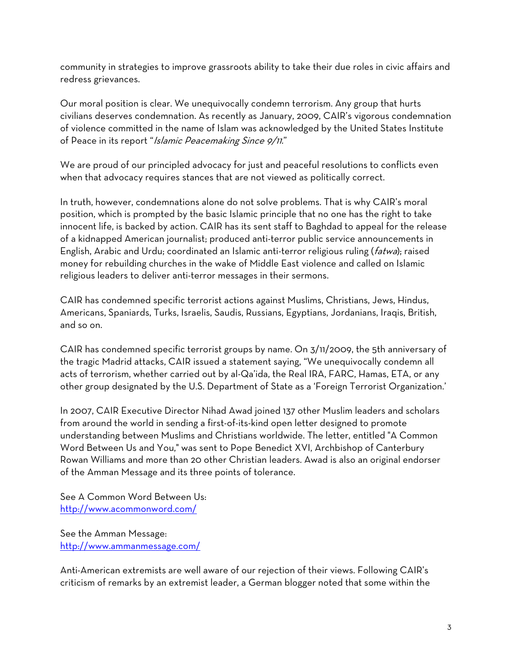community in strategies to improve grassroots ability to take their due roles in civic affairs and redress grievances.

Our moral position is clear. We unequivocally condemn terrorism. Any group that hurts civilians deserves condemnation. As recently as January, 2009, CAIR's vigorous condemnation of violence committed in the name of Islam was acknowledged by the United States Institute of Peace in its report "Islamic Peacemaking Since 9/11."

We are proud of our principled advocacy for just and peaceful resolutions to conflicts even when that advocacy requires stances that are not viewed as politically correct.

In truth, however, condemnations alone do not solve problems. That is why CAIR's moral position, which is prompted by the basic Islamic principle that no one has the right to take innocent life, is backed by action. CAIR has its sent staff to Baghdad to appeal for the release of a kidnapped American journalist; produced anti-terror public service announcements in English, Arabic and Urdu; coordinated an Islamic anti-terror religious ruling (fatwa); raised money for rebuilding churches in the wake of Middle East violence and called on Islamic religious leaders to deliver anti-terror messages in their sermons.

CAIR has condemned specific terrorist actions against Muslims, Christians, Jews, Hindus, Americans, Spaniards, Turks, Israelis, Saudis, Russians, Egyptians, Jordanians, Iraqis, British, and so on.

CAIR has condemned specific terrorist groups by name. On 3/11/2009, the 5th anniversary of the tragic Madrid attacks, CAIR issued a statement saying, "We unequivocally condemn all acts of terrorism, whether carried out by al-Qa'ida, the Real IRA, FARC, Hamas, ETA, or any other group designated by the U.S. Department of State as a 'Foreign Terrorist Organization.'

In 2007, CAIR Executive Director Nihad Awad joined 137 other Muslim leaders and scholars from around the world in sending a first-of-its-kind open letter designed to promote understanding between Muslims and Christians worldwide. The letter, entitled "A Common Word Between Us and You," was sent to Pope Benedict XVI, Archbishop of Canterbury Rowan Williams and more than 20 other Christian leaders. Awad is also an original endorser of the Amman Message and its three points of tolerance.

See A Common Word Between Us: <http://www.acommonword.com/>

See the Amman Message: <http://www.ammanmessage.com/>

Anti-American extremists are well aware of our rejection of their views. Following CAIR's criticism of remarks by an extremist leader, a German blogger noted that some within the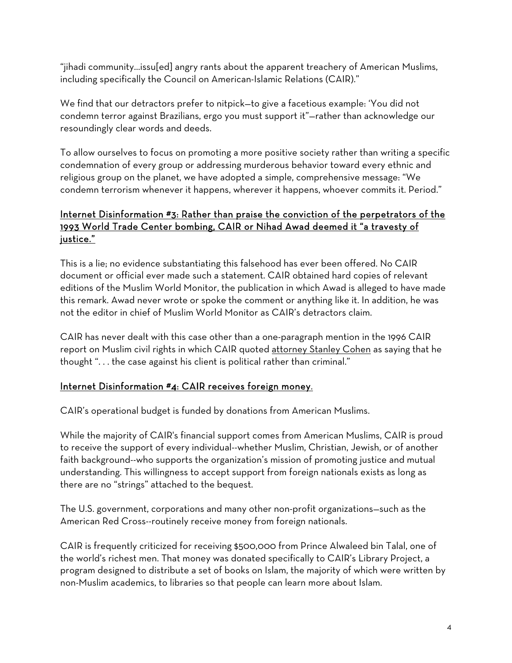"jihadi community…issu[ed] angry rants about the apparent treachery of American Muslims, including specifically the Council on American-Islamic Relations (CAIR)."

We find that our detractors prefer to nitpick—to give a facetious example: 'You did not condemn terror against Brazilians, ergo you must support it"—rather than acknowledge our resoundingly clear words and deeds.

To allow ourselves to focus on promoting a more positive society rather than writing a specific condemnation of every group or addressing murderous behavior toward every ethnic and religious group on the planet, we have adopted a simple, comprehensive message: "We condemn terrorism whenever it happens, wherever it happens, whoever commits it. Period."

## Internet Disinformation #3: Rather than praise the conviction of the perpetrators of the 1993 World Trade Center bombing, CAIR or Nihad Awad deemed it "a travesty of justice."

This is a lie; no evidence substantiating this falsehood has ever been offered. No CAIR document or official ever made such a statement. CAIR obtained hard copies of relevant editions of the Muslim World Monitor, the publication in which Awad is alleged to have made this remark. Awad never wrote or spoke the comment or anything like it. In addition, he was not the editor in chief of Muslim World Monitor as CAIR's detractors claim.

CAIR has never dealt with this case other than a one-paragraph mention in the 1996 CAIR report on Muslim civil rights in which CAIR quoted attorney Stanley Cohen as saying that he thought ". . . the case against his client is political rather than criminal."

# Internet Disinformation #4: CAIR receives foreign money.

CAIR's operational budget is funded by donations from American Muslims.

While the majority of CAIR's financial support comes from American Muslims, CAIR is proud to receive the support of every individual--whether Muslim, Christian, Jewish, or of another faith background--who supports the organization's mission of promoting justice and mutual understanding. This willingness to accept support from foreign nationals exists as long as there are no "strings" attached to the bequest.

The U.S. government, corporations and many other non-profit organizations—such as the American Red Cross--routinely receive money from foreign nationals.

CAIR is frequently criticized for receiving \$500,000 from Prince Alwaleed bin Talal, one of the world's richest men. That money was donated specifically to CAIR's Library Project, a program designed to distribute a set of books on Islam, the majority of which were written by non-Muslim academics, to libraries so that people can learn more about Islam.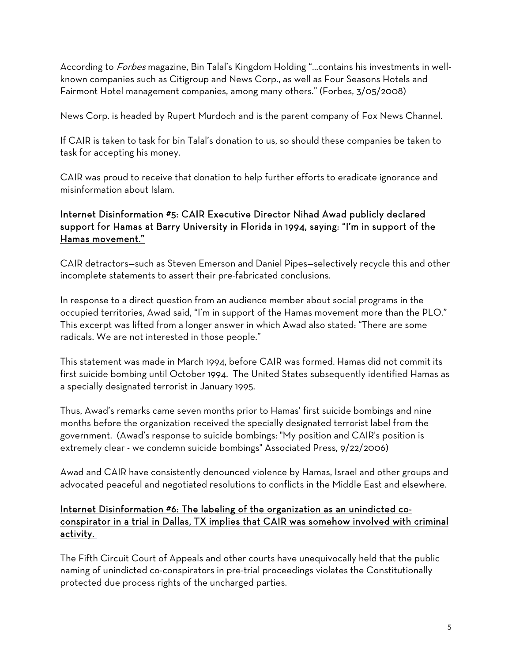According to Forbes magazine, Bin Talal's Kingdom Holding "...contains his investments in wellknown companies such as Citigroup and News Corp., as well as Four Seasons Hotels and Fairmont Hotel management companies, among many others." (Forbes, 3/05/2008)

News Corp. is headed by Rupert Murdoch and is the parent company of Fox News Channel.

If CAIR is taken to task for bin Talal's donation to us, so should these companies be taken to task for accepting his money.

CAIR was proud to receive that donation to help further efforts to eradicate ignorance and misinformation about Islam.

# Internet Disinformation #5: CAIR Executive Director Nihad Awad publicly declared support for Hamas at Barry University in Florida in 1994, saying: "I'm in support of the Hamas movement."

CAIR detractors—such as Steven Emerson and Daniel Pipes—selectively recycle this and other incomplete statements to assert their pre-fabricated conclusions.

In response to a direct question from an audience member about social programs in the occupied territories, Awad said, "I'm in support of the Hamas movement more than the PLO." This excerpt was lifted from a longer answer in which Awad also stated: "There are some radicals. We are not interested in those people."

This statement was made in March 1994, before CAIR was formed. Hamas did not commit its first suicide bombing until October 1994. The United States subsequently identified Hamas as a specially designated terrorist in January 1995.

Thus, Awad's remarks came seven months prior to Hamas' first suicide bombings and nine months before the organization received the specially designated terrorist label from the government. (Awad's response to suicide bombings: "My position and CAIR's position is extremely clear - we condemn suicide bombings" Associated Press, 9/22/2006)

Awad and CAIR have consistently denounced violence by Hamas, Israel and other groups and advocated peaceful and negotiated resolutions to conflicts in the Middle East and elsewhere.

## Internet Disinformation #6: The labeling of the organization as an unindicted coconspirator in a trial in Dallas, TX implies that CAIR was somehow involved with criminal activity.

The Fifth Circuit Court of Appeals and other courts have unequivocally held that the public naming of unindicted co-conspirators in pre-trial proceedings violates the Constitutionally protected due process rights of the uncharged parties.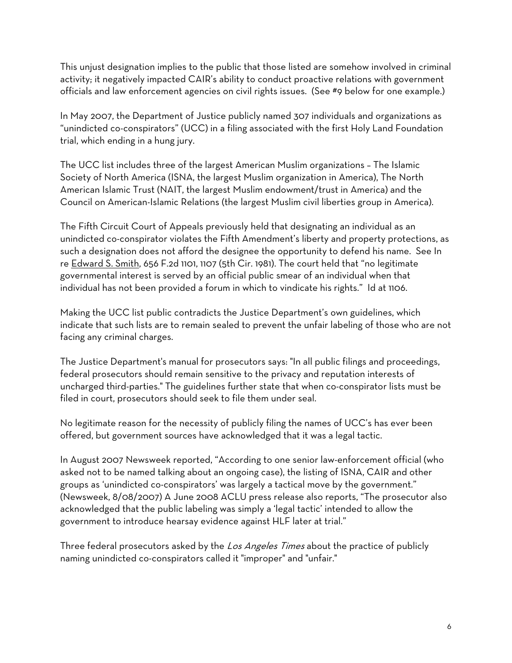This unjust designation implies to the public that those listed are somehow involved in criminal activity; it negatively impacted CAIR's ability to conduct proactive relations with government officials and law enforcement agencies on civil rights issues. (See #9 below for one example.)

In May 2007, the Department of Justice publicly named 307 individuals and organizations as "unindicted co-conspirators" (UCC) in a filing associated with the first Holy Land Foundation trial, which ending in a hung jury.

The UCC list includes three of the largest American Muslim organizations – The Islamic Society of North America (ISNA, the largest Muslim organization in America), The North American Islamic Trust (NAIT, the largest Muslim endowment/trust in America) and the Council on American-Islamic Relations (the largest Muslim civil liberties group in America).

The Fifth Circuit Court of Appeals previously held that designating an individual as an unindicted co-conspirator violates the Fifth Amendment's liberty and property protections, as such a designation does not afford the designee the opportunity to defend his name. See In re Edward S. Smith, 656 F.2d 1101, 1107 (5th Cir. 1981). The court held that "no legitimate governmental interest is served by an official public smear of an individual when that individual has not been provided a forum in which to vindicate his rights." Id at 1106.

Making the UCC list public contradicts the Justice Department's own guidelines, which indicate that such lists are to remain sealed to prevent the unfair labeling of those who are not facing any criminal charges.

The Justice Department's manual for prosecutors says: "In all public filings and proceedings, federal prosecutors should remain sensitive to the privacy and reputation interests of uncharged third-parties." The guidelines further state that when co-conspirator lists must be filed in court, prosecutors should seek to file them under seal.

No legitimate reason for the necessity of publicly filing the names of UCC's has ever been offered, but government sources have acknowledged that it was a legal tactic.

In August 2007 Newsweek reported, "According to one senior law-enforcement official (who asked not to be named talking about an ongoing case), the listing of ISNA, CAIR and other groups as 'unindicted co-conspirators' was largely a tactical move by the government." (Newsweek, 8/08/2007) A June 2008 ACLU press release also reports, "The prosecutor also acknowledged that the public labeling was simply a 'legal tactic' intended to allow the government to introduce hearsay evidence against HLF later at trial."

Three federal prosecutors asked by the Los Angeles Times about the practice of publicly naming unindicted co-conspirators called it "improper" and "unfair."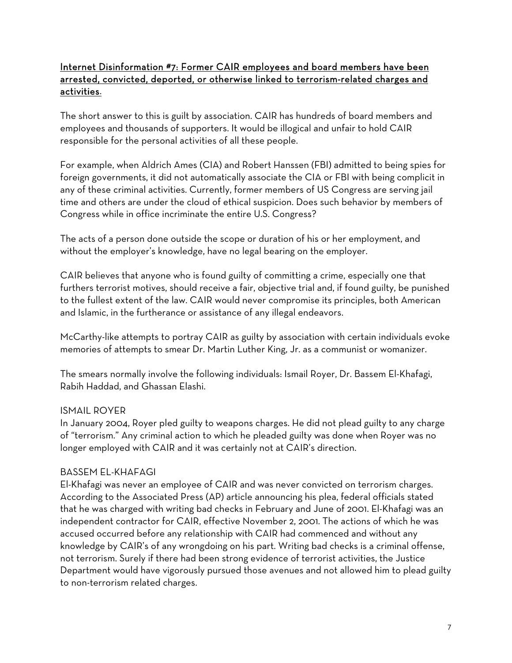## Internet Disinformation #7: Former CAIR employees and board members have been arrested, convicted, deported, or otherwise linked to terrorism-related charges and activities.

The short answer to this is guilt by association. CAIR has hundreds of board members and employees and thousands of supporters. It would be illogical and unfair to hold CAIR responsible for the personal activities of all these people.

For example, when Aldrich Ames (CIA) and Robert Hanssen (FBI) admitted to being spies for foreign governments, it did not automatically associate the CIA or FBI with being complicit in any of these criminal activities. Currently, former members of US Congress are serving jail time and others are under the cloud of ethical suspicion. Does such behavior by members of Congress while in office incriminate the entire U.S. Congress?

The acts of a person done outside the scope or duration of his or her employment, and without the employer's knowledge, have no legal bearing on the employer.

CAIR believes that anyone who is found guilty of committing a crime, especially one that furthers terrorist motives, should receive a fair, objective trial and, if found guilty, be punished to the fullest extent of the law. CAIR would never compromise its principles, both American and Islamic, in the furtherance or assistance of any illegal endeavors.

McCarthy-like attempts to portray CAIR as guilty by association with certain individuals evoke memories of attempts to smear Dr. Martin Luther King, Jr. as a communist or womanizer.

The smears normally involve the following individuals: Ismail Royer, Dr. Bassem El-Khafagi, Rabih Haddad, and Ghassan Elashi.

## ISMAIL ROYER

In January 2004, Royer pled guilty to weapons charges. He did not plead guilty to any charge of "terrorism." Any criminal action to which he pleaded guilty was done when Royer was no longer employed with CAIR and it was certainly not at CAIR's direction.

## BASSEM EL-KHAFAGI

El-Khafagi was never an employee of CAIR and was never convicted on terrorism charges. According to the Associated Press (AP) article announcing his plea, federal officials stated that he was charged with writing bad checks in February and June of 2001. El-Khafagi was an independent contractor for CAIR, effective November 2, 2001. The actions of which he was accused occurred before any relationship with CAIR had commenced and without any knowledge by CAIR's of any wrongdoing on his part. Writing bad checks is a criminal offense, not terrorism. Surely if there had been strong evidence of terrorist activities, the Justice Department would have vigorously pursued those avenues and not allowed him to plead guilty to non-terrorism related charges.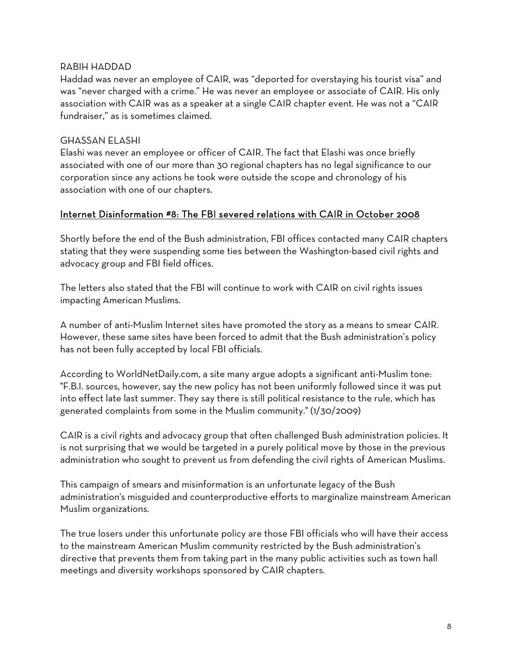#### RABIH HADDAD

Haddad was never an employee of CAIR, was "deported for overstaying his tourist visa" and was "never charged with a crime." He was never an employee or associate of CAIR. His only association with CAIR was as a speaker at a single CAIR chapter event. He was not a "CAIR fundraiser," as is sometimes claimed.

#### GHASSAN ELASHI

Elashi was never an employee or officer of CAIR. The fact that Elashi was once briefly associated with one of our more than 30 regional chapters has no legal significance to our corporation since any actions he took were outside the scope and chronology of his association with one of our chapters.

#### Internet Disinformation #8: The FBI severed relations with CAIR in October 2008

Shortly before the end of the Bush administration, FBI offices contacted many CAIR chapters stating that they were suspending some ties between the Washington-based civil rights and advocacy group and FBI field offices.

The letters also stated that the FBI will continue to work with CAIR on civil rights issues impacting American Muslims.

A number of anti-Muslim Internet sites have promoted the story as a means to smear CAIR. However, these same sites have been forced to admit that the Bush administration's policy has not been fully accepted by local FBI officials.

According to WorldNetDaily.com, a site many argue adopts a significant anti-Muslim tone: "F.B.I. sources, however, say the new policy has not been uniformly followed since it was put into effect late last summer. They say there is still political resistance to the rule, which has generated complaints from some in the Muslim community." (1/30/2009)

CAIR is a civil rights and advocacy group that often challenged Bush administration policies. It is not surprising that we would be targeted in a purely political move by those in the previous administration who sought to prevent us from defending the civil rights of American Muslims.

This campaign of smears and misinformation is an unfortunate legacy of the Bush administration's misguided and counterproductive efforts to marginalize mainstream American Muslim organizations.

The true losers under this unfortunate policy are those FBI officials who will have their access to the mainstream American Muslim community restricted by the Bush administration's directive that prevents them from taking part in the many public activities such as town hall meetings and diversity workshops sponsored by CAIR chapters.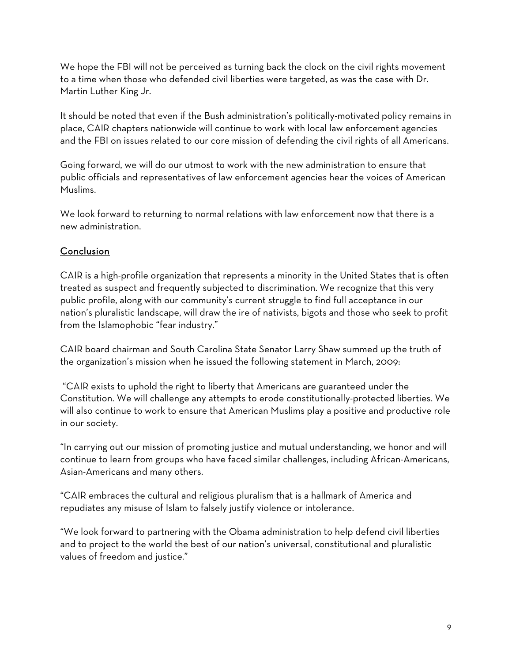We hope the FBI will not be perceived as turning back the clock on the civil rights movement to a time when those who defended civil liberties were targeted, as was the case with Dr. Martin Luther King Jr.

It should be noted that even if the Bush administration's politically-motivated policy remains in place, CAIR chapters nationwide will continue to work with local law enforcement agencies and the FBI on issues related to our core mission of defending the civil rights of all Americans.

Going forward, we will do our utmost to work with the new administration to ensure that public officials and representatives of law enforcement agencies hear the voices of American Muslims.

We look forward to returning to normal relations with law enforcement now that there is a new administration.

# **Conclusion**

CAIR is a high-profile organization that represents a minority in the United States that is often treated as suspect and frequently subjected to discrimination. We recognize that this very public profile, along with our community's current struggle to find full acceptance in our nation's pluralistic landscape, will draw the ire of nativists, bigots and those who seek to profit from the Islamophobic "fear industry."

CAIR board chairman and South Carolina State Senator Larry Shaw summed up the truth of the organization's mission when he issued the following statement in March, 2009:

 "CAIR exists to uphold the right to liberty that Americans are guaranteed under the Constitution. We will challenge any attempts to erode constitutionally-protected liberties. We will also continue to work to ensure that American Muslims play a positive and productive role in our society.

"In carrying out our mission of promoting justice and mutual understanding, we honor and will continue to learn from groups who have faced similar challenges, including African-Americans, Asian-Americans and many others.

"CAIR embraces the cultural and religious pluralism that is a hallmark of America and repudiates any misuse of Islam to falsely justify violence or intolerance.

"We look forward to partnering with the Obama administration to help defend civil liberties and to project to the world the best of our nation's universal, constitutional and pluralistic values of freedom and justice."